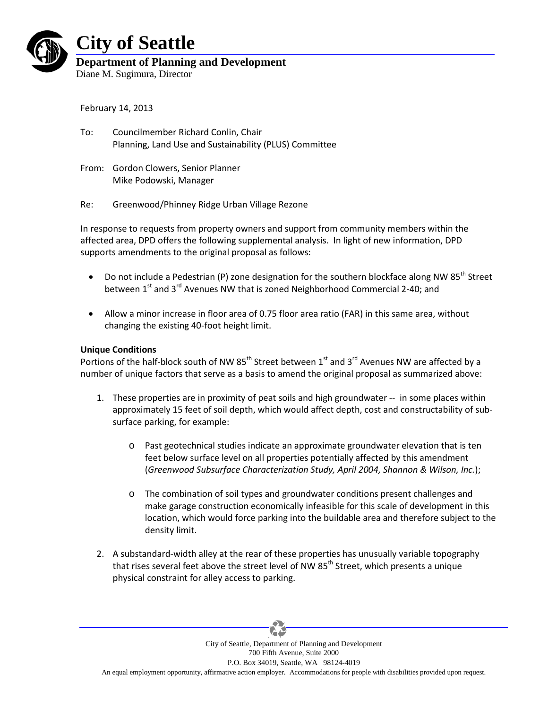

# **City of Seattle**

## **Department of Planning and Development**

Diane M. Sugimura, Director

February 14, 2013

- To: Councilmember Richard Conlin, Chair Planning, Land Use and Sustainability (PLUS) Committee
- From: Gordon Clowers, Senior Planner Mike Podowski, Manager
- Re: Greenwood/Phinney Ridge Urban Village Rezone

In response to requests from property owners and support from community members within the affected area, DPD offers the following supplemental analysis. In light of new information, DPD supports amendments to the original proposal as follows:

- Do not include a Pedestrian (P) zone designation for the southern blockface along NW 85<sup>th</sup> Street between 1<sup>st</sup> and 3<sup>rd</sup> Avenues NW that is zoned Neighborhood Commercial 2-40; and
- Allow a minor increase in floor area of 0.75 floor area ratio (FAR) in this same area, without changing the existing 40-foot height limit.

### **Unique Conditions**

Portions of the half-block south of NW  $85<sup>th</sup>$  Street between 1<sup>st</sup> and 3<sup>rd</sup> Avenues NW are affected by a number of unique factors that serve as a basis to amend the original proposal as summarized above:

- 1. These properties are in proximity of peat soils and high groundwater -- in some places within approximately 15 feet of soil depth, which would affect depth, cost and constructability of subsurface parking, for example:
	- o Past geotechnical studies indicate an approximate groundwater elevation that is ten feet below surface level on all properties potentially affected by this amendment (*Greenwood Subsurface Characterization Study, April 2004, Shannon & Wilson, Inc.*);
	- o The combination of soil types and groundwater conditions present challenges and make garage construction economically infeasible for this scale of development in this location, which would force parking into the buildable area and therefore subject to the density limit.
- 2. A substandard-width alley at the rear of these properties has unusually variable topography that rises several feet above the street level of NW  $85<sup>th</sup>$  Street, which presents a unique physical constraint for alley access to parking.